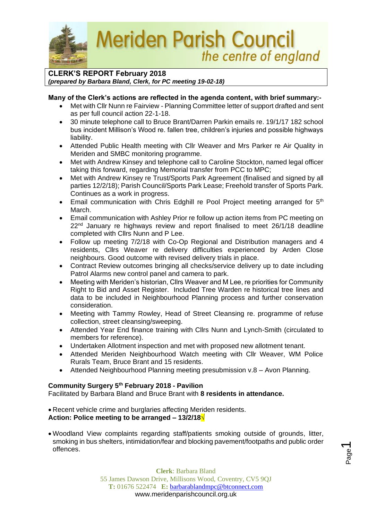**Meriden Parish Council** the centre of england

## **CLERK'S REPORT February 2018** *(prepared by Barbara Bland, Clerk, for PC meeting 19-02-18)*

## **Many of the Clerk's actions are reflected in the agenda content, with brief summary:-**

- Met with Cllr Nunn re Fairview Planning Committee letter of support drafted and sent as per full council action 22-1-18.
- 30 minute telephone call to Bruce Brant/Darren Parkin emails re. 19/1/17 182 school bus incident Millison's Wood re. fallen tree, children's injuries and possible highways liability.
- Attended Public Health meeting with Cllr Weaver and Mrs Parker re Air Quality in Meriden and SMBC monitoring programme.
- Met with Andrew Kinsey and telephone call to Caroline Stockton, named legal officer taking this forward, regarding Memorial transfer from PCC to MPC;
- Met with Andrew Kinsey re Trust/Sports Park Agreement (finalised and signed by all parties 12/2/18); Parish Council/Sports Park Lease; Freehold transfer of Sports Park. Continues as a work in progress.
- Email communication with Chris Edghill re Pool Project meeting arranged for 5<sup>th</sup> March.
- Email communication with Ashley Prior re follow up action items from PC meeting on 22<sup>nd</sup> January re highways review and report finalised to meet 26/1/18 deadline completed with Cllrs Nunn and P Lee.
- Follow up meeting 7/2/18 with Co-Op Regional and Distribution managers and 4 residents, Cllrs Weaver re delivery difficulties experienced by Arden Close neighbours. Good outcome with revised delivery trials in place.
- Contract Review outcomes bringing all checks/service delivery up to date including Patrol Alarms new control panel and camera to park.
- Meeting with Meriden's historian, Cllrs Weaver and M Lee, re priorities for Community Right to Bid and Asset Register. Included Tree Warden re historical tree lines and data to be included in Neighbourhood Planning process and further conservation consideration.
- Meeting with Tammy Rowley, Head of Street Cleansing re. programme of refuse collection, street cleansing/sweeping.
- Attended Year End finance training with Cllrs Nunn and Lynch-Smith (circulated to members for reference).
- Undertaken Allotment inspection and met with proposed new allotment tenant.
- Attended Meriden Neighbourhood Watch meeting with Cllr Weaver, WM Police Rurals Team, Bruce Brant and 15 residents.
- Attended Neighbourhood Planning meeting presubmission v.8 Avon Planning.

## **Community Surgery 5th February 2018 - Pavilion**

Facilitated by Barbara Bland and Bruce Brant with **8 residents in attendance.** 

• Recent vehicle crime and burglaries affecting Meriden residents. **Action: Police meeting to be arranged – 13/2/18√**

• Woodland View complaints regarding staff/patients smoking outside of grounds, litter, smoking in bus shelters, intimidation/fear and blocking pavement/footpaths and public order offences.

Page  $\overline{\phantom{0}}$